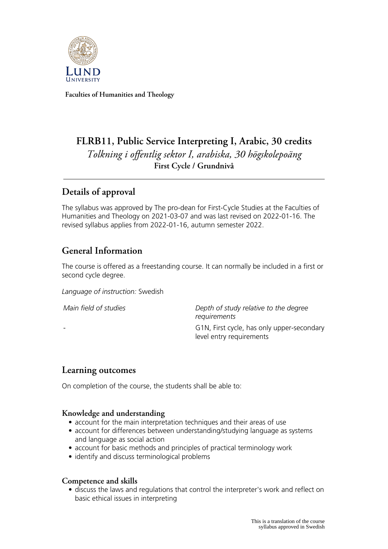

**Faculties of Humanities and Theology**

# **FLRB11, Public Service Interpreting I, Arabic, 30 credits** *Tolkning i offentlig sektor I, arabiska, 30 högskolepoäng* **First Cycle / Grundnivå**

# **Details of approval**

The syllabus was approved by The pro-dean for First-Cycle Studies at the Faculties of Humanities and Theology on 2021-03-07 and was last revised on 2022-01-16. The revised syllabus applies from 2022-01-16, autumn semester 2022.

# **General Information**

The course is offered as a freestanding course. It can normally be included in a first or second cycle degree.

*Language of instruction:* Swedish

*Main field of studies Depth of study relative to the degree requirements* G1N, First cycle, has only upper-secondary level entry requirements

### **Learning outcomes**

On completion of the course, the students shall be able to:

### **Knowledge and understanding**

- account for the main interpretation techniques and their areas of use
- account for differences between understanding/studying language as systems and language as social action
- account for basic methods and principles of practical terminology work
- identify and discuss terminological problems

#### **Competence and skills**

• discuss the laws and regulations that control the interpreter's work and reflect on basic ethical issues in interpreting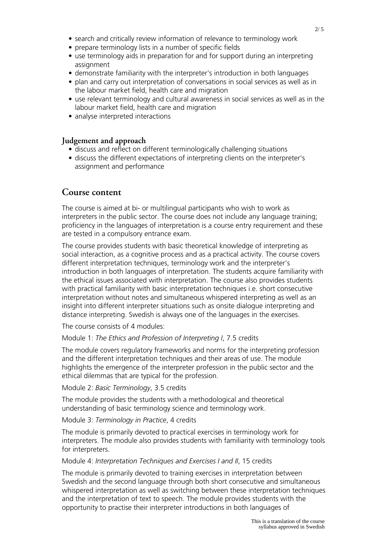- prepare terminology lists in a number of specific fields
- use terminology aids in preparation for and for support during an interpreting assignment
- demonstrate familiarity with the interpreter's introduction in both languages
- plan and carry out interpretation of conversations in social services as well as in the labour market field, health care and migration
- use relevant terminology and cultural awareness in social services as well as in the labour market field, health care and migration
- analyse interpreted interactions

#### **Judgement and approach**

- discuss and reflect on different terminologically challenging situations
- discuss the different expectations of interpreting clients on the interpreter's assignment and performance

### **Course content**

The course is aimed at bi- or multilingual participants who wish to work as interpreters in the public sector. The course does not include any language training; proficiency in the languages of interpretation is a course entry requirement and these are tested in a compulsory entrance exam.

The course provides students with basic theoretical knowledge of interpreting as social interaction, as a cognitive process and as a practical activity. The course covers different interpretation techniques, terminology work and the interpreter's introduction in both languages of interpretation. The students acquire familiarity with the ethical issues associated with interpretation. The course also provides students with practical familiarity with basic interpretation techniques i.e. short consecutive interpretation without notes and simultaneous whispered interpreting as well as an insight into different interpreter situations such as onsite dialogue interpreting and distance interpreting. Swedish is always one of the languages in the exercises.

The course consists of 4 modules:

#### Module 1: *The Ethics and Profession of Interpreting I*, 7.5 credits

The module covers regulatory frameworks and norms for the interpreting profession and the different interpretation techniques and their areas of use. The module highlights the emergence of the interpreter profession in the public sector and the ethical dilemmas that are typical for the profession.

Module 2: *Basic Terminology*, 3.5 credits

The module provides the students with a methodological and theoretical understanding of basic terminology science and terminology work.

Module 3: *Terminology in Practice*, 4 credits

The module is primarily devoted to practical exercises in terminology work for interpreters. The module also provides students with familiarity with terminology tools for interpreters.

#### Module 4: *Interpretation Techniques and Exercises I and II*, 15 credits

The module is primarily devoted to training exercises in interpretation between Swedish and the second language through both short consecutive and simultaneous whispered interpretation as well as switching between these interpretation techniques and the interpretation of text to speech. The module provides students with the opportunity to practise their interpreter introductions in both languages of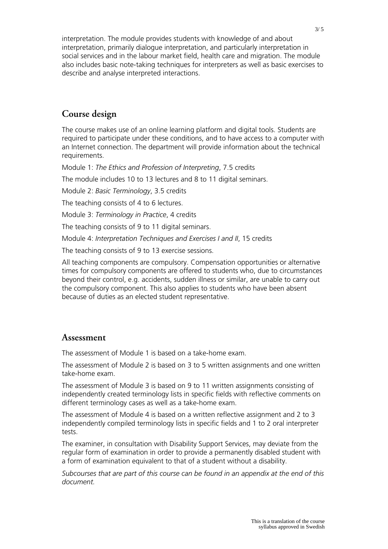interpretation. The module provides students with knowledge of and about interpretation, primarily dialogue interpretation, and particularly interpretation in social services and in the labour market field, health care and migration. The module also includes basic note-taking techniques for interpreters as well as basic exercises to describe and analyse interpreted interactions.

# **Course design**

The course makes use of an online learning platform and digital tools. Students are required to participate under these conditions, and to have access to a computer with an Internet connection. The department will provide information about the technical requirements.

Module 1: *The Ethics and Profession of Interpreting*, 7.5 credits

The module includes 10 to 13 lectures and 8 to 11 digital seminars.

Module 2: *Basic Terminology*, 3.5 credits

The teaching consists of 4 to 6 lectures.

Module 3: *Terminology in Practice*, 4 credits

The teaching consists of 9 to 11 digital seminars.

Module 4: *Interpretation Techniques and Exercises I and II*, 15 credits

The teaching consists of 9 to 13 exercise sessions.

All teaching components are compulsory. Compensation opportunities or alternative times for compulsory components are offered to students who, due to circumstances beyond their control, e.g. accidents, sudden illness or similar, are unable to carry out the compulsory component. This also applies to students who have been absent because of duties as an elected student representative.

### **Assessment**

The assessment of Module 1 is based on a take-home exam.

The assessment of Module 2 is based on 3 to 5 written assignments and one written take-home exam.

The assessment of Module 3 is based on 9 to 11 written assignments consisting of independently created terminology lists in specific fields with reflective comments on different terminology cases as well as a take-home exam.

The assessment of Module 4 is based on a written reflective assignment and 2 to 3 independently compiled terminology lists in specific fields and 1 to 2 oral interpreter tests.

The examiner, in consultation with Disability Support Services, may deviate from the regular form of examination in order to provide a permanently disabled student with a form of examination equivalent to that of a student without a disability.

*Subcourses that are part of this course can be found in an appendix at the end of this document.*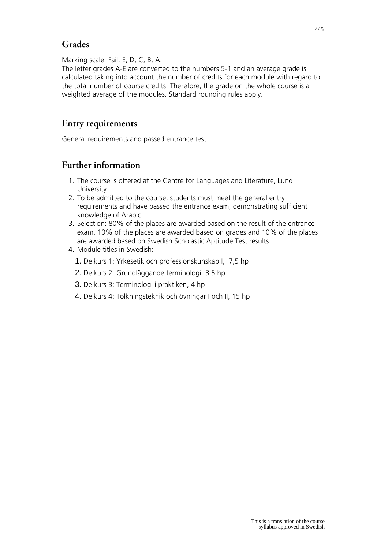## **Grades**

Marking scale: Fail, E, D, C, B, A.

The letter grades A-E are converted to the numbers 5-1 and an average grade is calculated taking into account the number of credits for each module with regard to the total number of course credits. Therefore, the grade on the whole course is a weighted average of the modules. Standard rounding rules apply.

## **Entry requirements**

General requirements and passed entrance test

## **Further information**

- 1. The course is offered at the Centre for Languages and Literature, Lund University.
- 2. To be admitted to the course, students must meet the general entry requirements and have passed the entrance exam, demonstrating sufficient knowledge of Arabic.
- 3. Selection: 80% of the places are awarded based on the result of the entrance exam, 10% of the places are awarded based on grades and 10% of the places are awarded based on Swedish Scholastic Aptitude Test results.
- 4. Module titles in Swedish:
	- 1. Delkurs 1: Yrkesetik och professionskunskap I, 7,5 hp
	- 2. Delkurs 2: Grundläggande terminologi, 3,5 hp
	- 3. Delkurs 3: Terminologi i praktiken, 4 hp
	- 4. Delkurs 4: Tolkningsteknik och övningar I och II, 15 hp